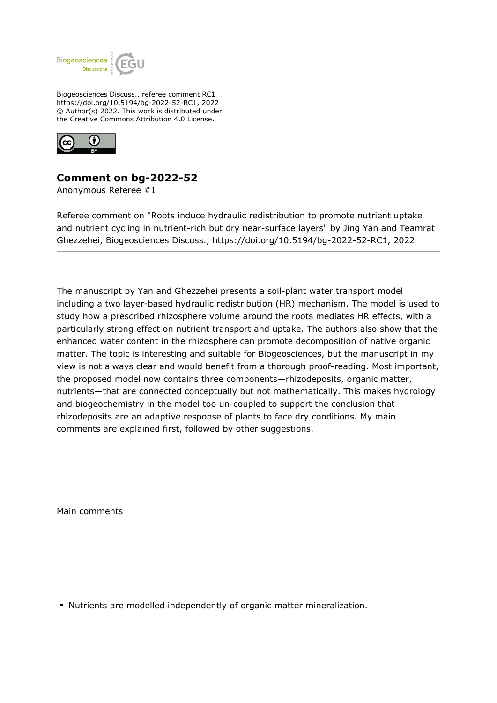

Biogeosciences Discuss., referee comment RC1 https://doi.org/10.5194/bg-2022-52-RC1, 2022 © Author(s) 2022. This work is distributed under the Creative Commons Attribution 4.0 License.



## **Comment on bg-2022-52**

Anonymous Referee #1

Referee comment on "Roots induce hydraulic redistribution to promote nutrient uptake and nutrient cycling in nutrient-rich but dry near-surface layers" by Jing Yan and Teamrat Ghezzehei, Biogeosciences Discuss., https://doi.org/10.5194/bg-2022-52-RC1, 2022

The manuscript by Yan and Ghezzehei presents a soil-plant water transport model including a two layer-based hydraulic redistribution (HR) mechanism. The model is used to study how a prescribed rhizosphere volume around the roots mediates HR effects, with a particularly strong effect on nutrient transport and uptake. The authors also show that the enhanced water content in the rhizosphere can promote decomposition of native organic matter. The topic is interesting and suitable for Biogeosciences, but the manuscript in my view is not always clear and would benefit from a thorough proof-reading. Most important, the proposed model now contains three components—rhizodeposits, organic matter, nutrients—that are connected conceptually but not mathematically. This makes hydrology and biogeochemistry in the model too un-coupled to support the conclusion that rhizodeposits are an adaptive response of plants to face dry conditions. My main comments are explained first, followed by other suggestions.

Main comments

Nutrients are modelled independently of organic matter mineralization.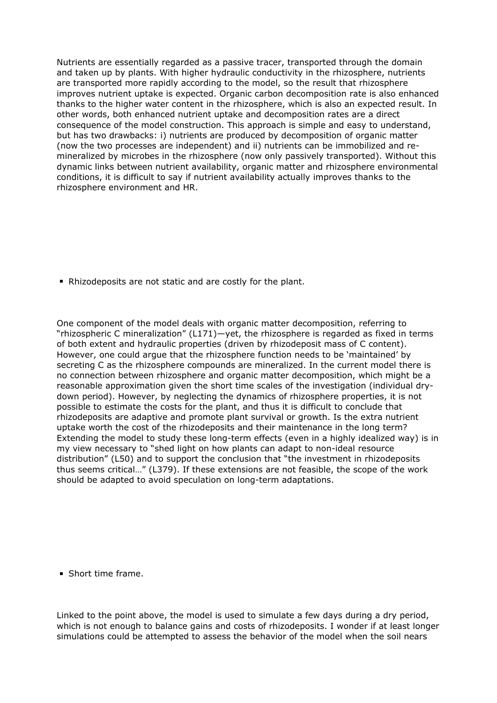Nutrients are essentially regarded as a passive tracer, transported through the domain and taken up by plants. With higher hydraulic conductivity in the rhizosphere, nutrients are transported more rapidly according to the model, so the result that rhizosphere improves nutrient uptake is expected. Organic carbon decomposition rate is also enhanced thanks to the higher water content in the rhizosphere, which is also an expected result. In other words, both enhanced nutrient uptake and decomposition rates are a direct consequence of the model construction. This approach is simple and easy to understand, but has two drawbacks: i) nutrients are produced by decomposition of organic matter (now the two processes are independent) and ii) nutrients can be immobilized and remineralized by microbes in the rhizosphere (now only passively transported). Without this dynamic links between nutrient availability, organic matter and rhizosphere environmental conditions, it is difficult to say if nutrient availability actually improves thanks to the rhizosphere environment and HR.

Rhizodeposits are not static and are costly for the plant.

One component of the model deals with organic matter decomposition, referring to "rhizospheric C mineralization" (L171)—yet, the rhizosphere is regarded as fixed in terms of both extent and hydraulic properties (driven by rhizodeposit mass of C content). However, one could argue that the rhizosphere function needs to be 'maintained' by secreting C as the rhizosphere compounds are mineralized. In the current model there is no connection between rhizosphere and organic matter decomposition, which might be a reasonable approximation given the short time scales of the investigation (individual drydown period). However, by neglecting the dynamics of rhizosphere properties, it is not possible to estimate the costs for the plant, and thus it is difficult to conclude that rhizodeposits are adaptive and promote plant survival or growth. Is the extra nutrient uptake worth the cost of the rhizodeposits and their maintenance in the long term? Extending the model to study these long-term effects (even in a highly idealized way) is in my view necessary to "shed light on how plants can adapt to non-ideal resource distribution" (L50) and to support the conclusion that "the investment in rhizodeposits thus seems critical…" (L379). If these extensions are not feasible, the scope of the work should be adapted to avoid speculation on long-term adaptations.

**Short time frame.** 

Linked to the point above, the model is used to simulate a few days during a dry period, which is not enough to balance gains and costs of rhizodeposits. I wonder if at least longer simulations could be attempted to assess the behavior of the model when the soil nears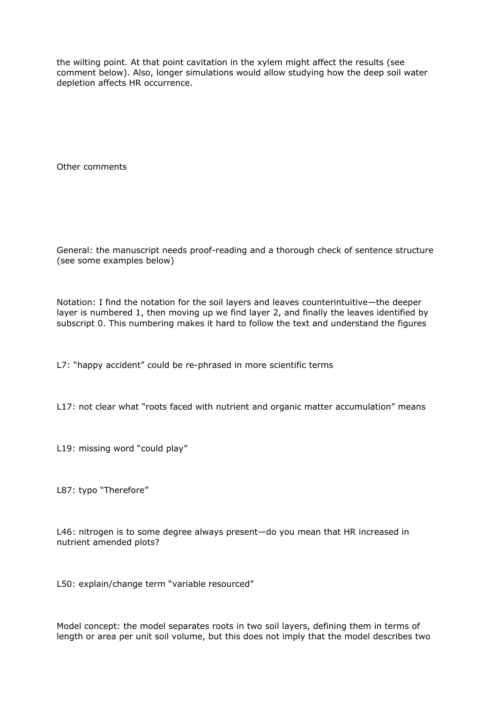the wilting point. At that point cavitation in the xylem might affect the results (see comment below). Also, longer simulations would allow studying how the deep soil water depletion affects HR occurrence.

Other comments

General: the manuscript needs proof-reading and a thorough check of sentence structure (see some examples below)

Notation: I find the notation for the soil layers and leaves counterintuitive—the deeper layer is numbered 1, then moving up we find layer 2, and finally the leaves identified by subscript 0. This numbering makes it hard to follow the text and understand the figures

L7: "happy accident" could be re-phrased in more scientific terms

L17: not clear what "roots faced with nutrient and organic matter accumulation" means

L19: missing word "could play"

L87: typo "Therefore"

L46: nitrogen is to some degree always present—do you mean that HR increased in nutrient amended plots?

L50: explain/change term "variable resourced"

Model concept: the model separates roots in two soil layers, defining them in terms of length or area per unit soil volume, but this does not imply that the model describes two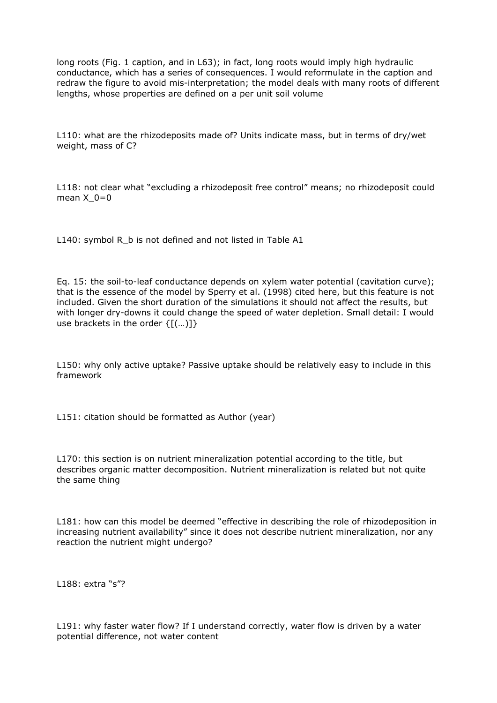long roots (Fig. 1 caption, and in L63); in fact, long roots would imply high hydraulic conductance, which has a series of consequences. I would reformulate in the caption and redraw the figure to avoid mis-interpretation; the model deals with many roots of different lengths, whose properties are defined on a per unit soil volume

L110: what are the rhizodeposits made of? Units indicate mass, but in terms of dry/wet weight, mass of C?

L118: not clear what "excluding a rhizodeposit free control" means; no rhizodeposit could mean  $X$   $0=0$ 

L140: symbol R\_b is not defined and not listed in Table A1

Eq. 15: the soil-to-leaf conductance depends on xylem water potential (cavitation curve); that is the essence of the model by Sperry et al. (1998) cited here, but this feature is not included. Given the short duration of the simulations it should not affect the results, but with longer dry-downs it could change the speed of water depletion. Small detail: I would use brackets in the order  $\{[(...]]\}$ 

L150: why only active uptake? Passive uptake should be relatively easy to include in this framework

L151: citation should be formatted as Author (year)

L170: this section is on nutrient mineralization potential according to the title, but describes organic matter decomposition. Nutrient mineralization is related but not quite the same thing

L181: how can this model be deemed "effective in describing the role of rhizodeposition in increasing nutrient availability" since it does not describe nutrient mineralization, nor any reaction the nutrient might undergo?

L188: extra "s"?

L191: why faster water flow? If I understand correctly, water flow is driven by a water potential difference, not water content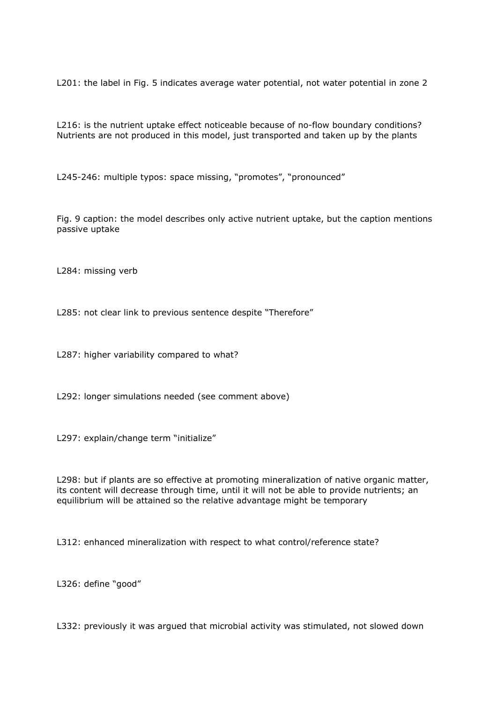L201: the label in Fig. 5 indicates average water potential, not water potential in zone 2

L216: is the nutrient uptake effect noticeable because of no-flow boundary conditions? Nutrients are not produced in this model, just transported and taken up by the plants

L245-246: multiple typos: space missing, "promotes", "pronounced"

Fig. 9 caption: the model describes only active nutrient uptake, but the caption mentions passive uptake

L284: missing verb

L285: not clear link to previous sentence despite "Therefore"

L287: higher variability compared to what?

L292: longer simulations needed (see comment above)

L297: explain/change term "initialize"

L298: but if plants are so effective at promoting mineralization of native organic matter, its content will decrease through time, until it will not be able to provide nutrients; an equilibrium will be attained so the relative advantage might be temporary

L312: enhanced mineralization with respect to what control/reference state?

L326: define "good"

L332: previously it was argued that microbial activity was stimulated, not slowed down